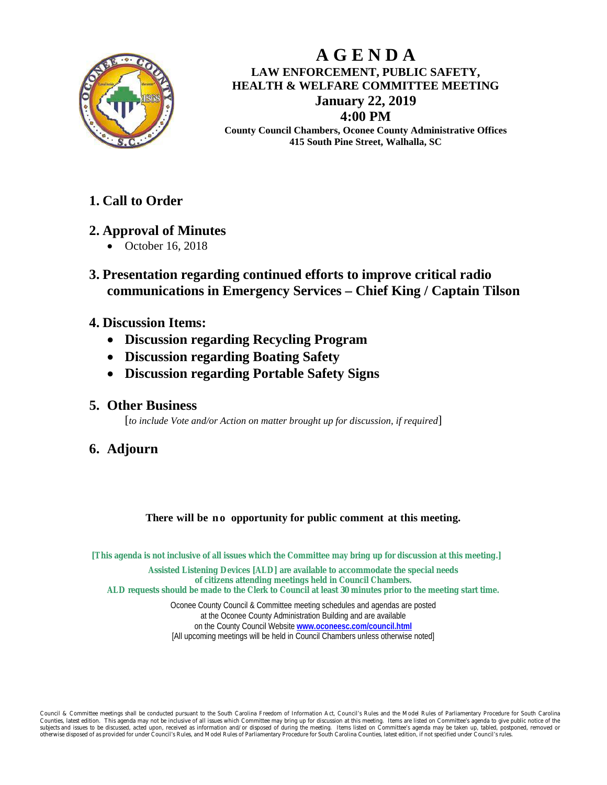

# **A G E N D A LAW ENFORCEMENT, PUBLIC SAFETY, HEALTH & WELFARE COMMITTEE MEETING January 22, 2019 4:00 PM**

**County Council Chambers, Oconee County Administrative Offices 415 South Pine Street, Walhalla, SC**

# **1. Call to Order**

# **2. Approval of Minutes**

- October 16, 2018
- **3. Presentation regarding continued efforts to improve critical radio communications in Emergency Services – Chief King / Captain Tilson**
- **4. Discussion Items:**
	- **Discussion regarding Recycling Program**
	- **Discussion regarding Boating Safety**
	- **Discussion regarding Portable Safety Signs**

### **5. Other Business**

[*to include Vote and/or Action on matter brought up for discussion, if required*]

# **6. Adjourn**

#### **There will be no opportunity for public comment at this meeting.**

**[This agenda is not inclusive of all issues which the Committee may bring up for discussion at this meeting.] Assisted Listening Devices [ALD] are available to accommodate the special needs of citizens attending meetings held in Council Chambers. ALD requests should be made to the Clerk to Council at least 30 minutes prior to the meeting start time.**

Oconee County Council & Committee meeting schedules and agendas are posted at the Oconee County Administration Building and are available on the County Council Website **[www.oconeesc.com/council.html](http://www.oconeesc.com/council.html)** [All upcoming meetings will be held in Council Chambers unless otherwise noted]

Council & Committee meetings shall be conducted pursuant to the South Carolina Freedom of Information Act, Council's Rules and the Model Rules of Parliamentary Procedure for South Carolina st edition. This agenda may not be inclusive of all issues which Committee may bring up for discussion at this meeting. Items are listed on Committee's agenda to give public notice of th subjects and issues to be discussed, acted upon, received as information and/or disposed of during the meeting. Items listed on Committee's agenda may be taken up, tabled, postponed, removed or ed of as provided for under Council's Rules, and Model Rules of Parliamentary Procedure for South Carolina Counties, latest edition, if not sp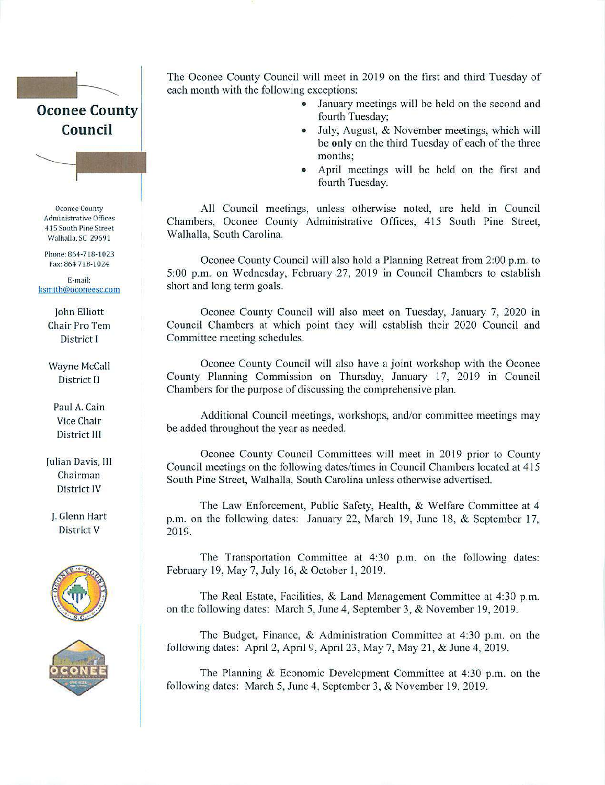

**Oconee County Administrative Offices** 415 South Pine Street Walhalla, SC 29691

Phone: 864-718-1023 Fax: 864 718-1024

E-mail: ksmith@oconeesc.com

> **John Elliott Chair Pro Tem** District I

Wayne McCall District II

Paul A. Cain Vice Chair District III

Julian Davis, III Chairman District IV

J. Glenn Hart District V





The Oconee County Council will meet in 2019 on the first and third Tuesday of each month with the following exceptions:

- January meetings will be held on the second and fourth Tuesday;
- July, August, & November meetings, which will be only on the third Tuesday of each of the three months:
- April meetings will be held on the first and fourth Tuesday.

All Council meetings, unless otherwise noted, are held in Council Chambers, Oconee County Administrative Offices, 415 South Pine Street, Walhalla, South Carolina.

Oconee County Council will also hold a Planning Retreat from 2:00 p.m. to 5:00 p.m. on Wednesday, February 27, 2019 in Council Chambers to establish short and long term goals.

Oconee County Council will also meet on Tuesday, January 7, 2020 in Council Chambers at which point they will establish their 2020 Council and Committee meeting schedules.

Oconee County Council will also have a joint workshop with the Oconee County Planning Commission on Thursday, January 17, 2019 in Council Chambers for the purpose of discussing the comprehensive plan.

Additional Council meetings, workshops, and/or committee meetings may be added throughout the year as needed.

Oconee County Council Committees will meet in 2019 prior to County Council meetings on the following dates/times in Council Chambers located at 415 South Pine Street, Walhalla, South Carolina unless otherwise advertised.

The Law Enforcement, Public Safety, Health, & Welfare Committee at 4 p.m. on the following dates: January 22, March 19, June 18, & September 17, 2019.

The Transportation Committee at 4:30 p.m. on the following dates: February 19, May 7, July 16, & October 1, 2019.

The Real Estate, Facilities, & Land Management Committee at 4:30 p.m. on the following dates: March 5, June 4, September 3, & November 19, 2019.

The Budget, Finance, & Administration Committee at 4:30 p.m. on the following dates: April 2, April 9, April 23, May 7, May 21, & June 4, 2019.

The Planning & Economic Development Committee at 4:30 p.m. on the following dates: March 5, June 4, September 3, & November 19, 2019.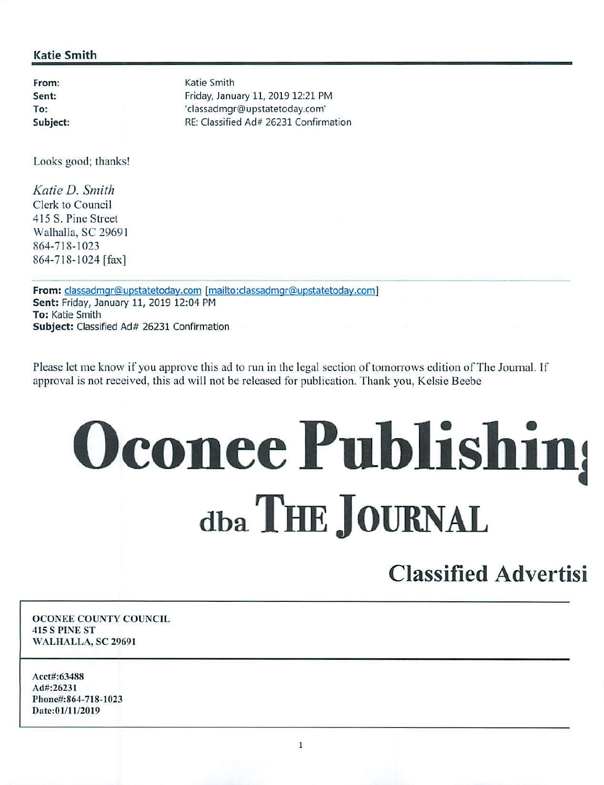#### **Katie Smith**

From: Sent: To: Subject: Katie Smith Friday, January 11, 2019 12:21 PM 'classadmgr@upstatetoday.com' RE: Classified Ad# 26231 Confirmation

Looks good; thanks!

Katie D. Smith Clerk to Council 415 S. Pine Street Walhalla, SC 29691 864-718-1023 864-718-1024 [fax]

From: classadmqr@upstatetoday.com [mailto:classadmqr@upstatetoday.com] Sent: Friday, January 11, 2019 12:04 PM To: Katie Smith Subject: Classified Ad# 26231 Confirmation

Please let me know if you approve this ad to run in the legal section of tomorrows edition of The Journal. If approval is not received, this ad will not be released for publication. Thank you, Kelsie Beebe

# **Oconee Publishing** dba THE JOURNAL

# **Classified Advertisi**

**OCONEE COUNTY COUNCIL 415 S PINE ST** WALHALLA, SC 29691

Acct#:63488 Ad#:26231 Phone#:864-718-1023 Date:01/11/2019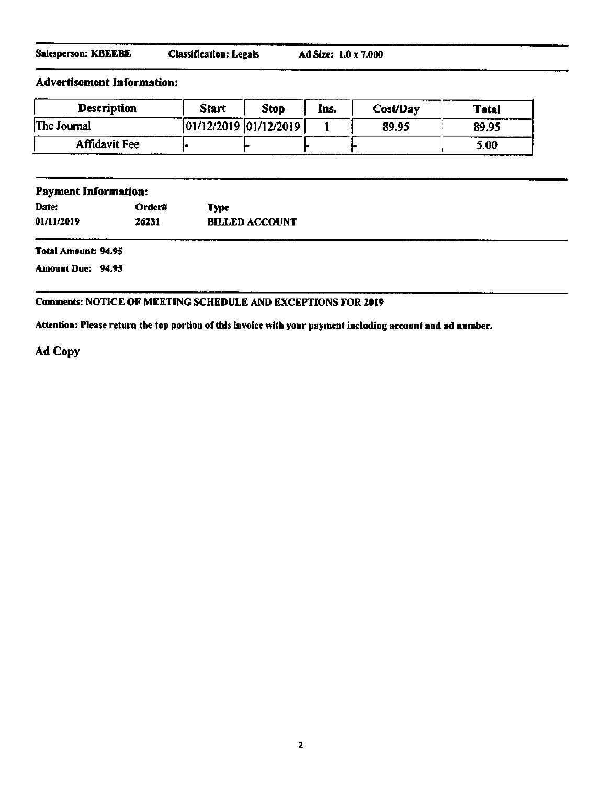| Salesperson: KBEEBE | <b>Classification: Legals</b> | Ad Size: 1.0 x 7.000 |
|---------------------|-------------------------------|----------------------|
|---------------------|-------------------------------|----------------------|

#### **Advertisement Information:**

| <b>Description</b>   | <b>Start</b>          | <b>Stop</b> | Ins. | Cost/Day | Total |
|----------------------|-----------------------|-------------|------|----------|-------|
| The Journal          | 01/12/2019 01/12/2019 |             |      | 89.95    | 89.95 |
| <b>Affidavit Fee</b> |                       |             |      |          | 5.00  |

| <b>Payment Information:</b> |        |                       |       |
|-----------------------------|--------|-----------------------|-------|
| Date:                       | Order# | <b>Type</b>           |       |
| 01/11/2019                  | 26231  | <b>BILLED ACCOUNT</b> |       |
|                             |        |                       | ----- |

Total Amount: 94.95

**Amount Due: 94.95** 

#### Comments: NOTICE OF MEETING SCHEDULE AND EXCEPTIONS FOR 2019

Attention: Please return the top portion of this invoice with your payment including account and ad number.

Ad Copy